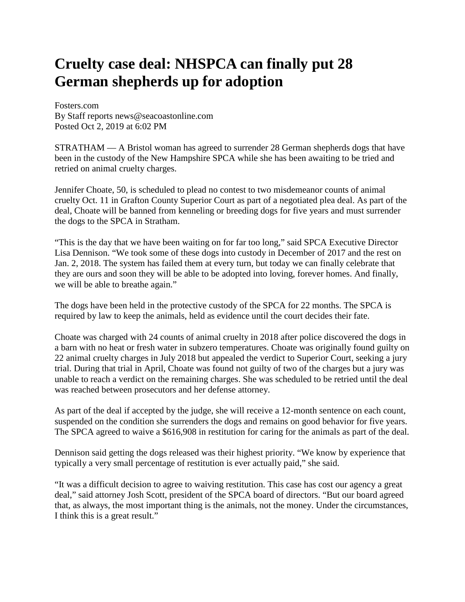## **Cruelty case deal: NHSPCA can finally put 28 German shepherds up for adoption**

Fosters.com By Staff reports news@seacoastonline.com Posted Oct 2, 2019 at 6:02 PM

STRATHAM — A Bristol woman has agreed to surrender 28 German shepherds dogs that have been in the custody of the New Hampshire SPCA while she has been awaiting to be tried and retried on animal cruelty charges.

Jennifer Choate, 50, is scheduled to plead no contest to two misdemeanor counts of animal cruelty Oct. 11 in Grafton County Superior Court as part of a negotiated plea deal. As part of the deal, Choate will be banned from kenneling or breeding dogs for five years and must surrender the dogs to the SPCA in Stratham.

"This is the day that we have been waiting on for far too long," said SPCA Executive Director Lisa Dennison. "We took some of these dogs into custody in December of 2017 and the rest on Jan. 2, 2018. The system has failed them at every turn, but today we can finally celebrate that they are ours and soon they will be able to be adopted into loving, forever homes. And finally, we will be able to breathe again."

The dogs have been held in the protective custody of the SPCA for 22 months. The SPCA is required by law to keep the animals, held as evidence until the court decides their fate.

Choate was charged with 24 counts of animal cruelty in 2018 after police discovered the dogs in a barn with no heat or fresh water in subzero temperatures. Choate was originally found guilty on 22 animal cruelty charges in July 2018 but appealed the verdict to Superior Court, seeking a jury trial. During that trial in April, Choate was found not guilty of two of the charges but a jury was unable to reach a verdict on the remaining charges. She was scheduled to be retried until the deal was reached between prosecutors and her defense attorney.

As part of the deal if accepted by the judge, she will receive a 12-month sentence on each count, suspended on the condition she surrenders the dogs and remains on good behavior for five years. The SPCA agreed to waive a \$616,908 in restitution for caring for the animals as part of the deal.

Dennison said getting the dogs released was their highest priority. "We know by experience that typically a very small percentage of restitution is ever actually paid," she said.

"It was a difficult decision to agree to waiving restitution. This case has cost our agency a great deal," said attorney Josh Scott, president of the SPCA board of directors. "But our board agreed that, as always, the most important thing is the animals, not the money. Under the circumstances, I think this is a great result."